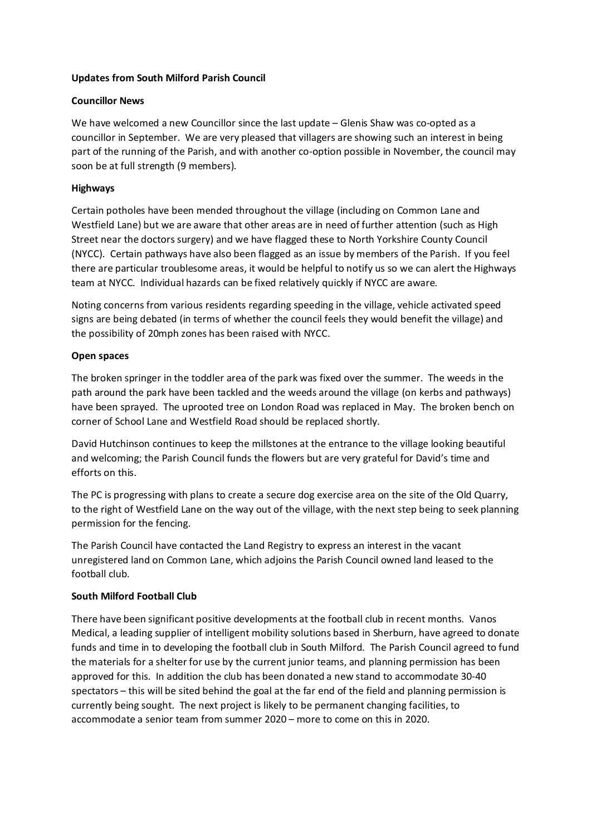### **Updates from South Milford Parish Council**

### **Councillor News**

We have welcomed a new Councillor since the last update – Glenis Shaw was co-opted as a councillor in September. We are very pleased that villagers are showing such an interest in being part of the running of the Parish, and with another co-option possible in November, the council may soon be at full strength (9 members).

### **Highways**

Certain potholes have been mended throughout the village (including on Common Lane and Westfield Lane) but we are aware that other areas are in need of further attention (such as High Street near the doctors surgery) and we have flagged these to North Yorkshire County Council (NYCC). Certain pathways have also been flagged as an issue by members of the Parish. If you feel there are particular troublesome areas, it would be helpful to notify us so we can alert the Highways team at NYCC. Individual hazards can be fixed relatively quickly if NYCC are aware.

Noting concerns from various residents regarding speeding in the village, vehicle activated speed signs are being debated (in terms of whether the council feels they would benefit the village) and the possibility of 20mph zones has been raised with NYCC.

### **Open spaces**

The broken springer in the toddler area of the park was fixed over the summer. The weeds in the path around the park have been tackled and the weeds around the village (on kerbs and pathways) have been sprayed. The uprooted tree on London Road was replaced in May. The broken bench on corner of School Lane and Westfield Road should be replaced shortly.

David Hutchinson continues to keep the millstones at the entrance to the village looking beautiful and welcoming; the Parish Council funds the flowers but are very grateful for David's time and efforts on this.

The PC is progressing with plans to create a secure dog exercise area on the site of the Old Quarry, to the right of Westfield Lane on the way out of the village, with the next step being to seek planning permission for the fencing.

The Parish Council have contacted the Land Registry to express an interest in the vacant unregistered land on Common Lane, which adjoins the Parish Council owned land leased to the football club.

#### **South Milford Football Club**

There have been significant positive developments at the football club in recent months. Vanos Medical, a leading supplier of intelligent mobility solutions based in Sherburn, have agreed to donate funds and time in to developing the football club in South Milford. The Parish Council agreed to fund the materials for a shelter for use by the current junior teams, and planning permission has been approved for this. In addition the club has been donated a new stand to accommodate 30-40 spectators – this will be sited behind the goal at the far end of the field and planning permission is currently being sought. The next project is likely to be permanent changing facilities, to accommodate a senior team from summer 2020 – more to come on this in 2020.